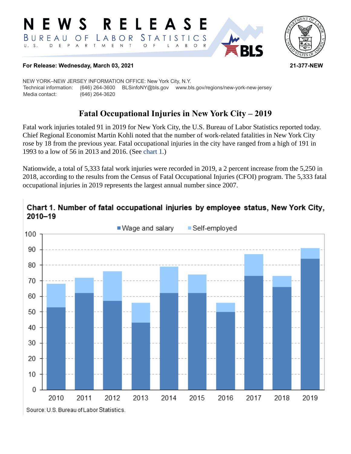#### RELEASE W S E. *STATISTICS* LABOR BUREAU O F  $E$  $M_{\odot}$  $\mathsf E$  $\mathsf{N}\xspace$  $\top$  $U. S.$ D  $P$  $\overline{A}$  $\mathsf{R}$  $\mathsf{T}$  $\circ$ B  $\circ$  $\mathsf{R}$



#### **For Release: Wednesday, March 03, 2021 21-377-NEW**

NEW YORK–NEW JERSEY INFORMATION OFFICE: New York City, N.Y. Technical information: (646) 264-3600 BLSinfoNY@bls.gov www.bls.gov/regions/new-york-new-jersey Media contact: (646) 264-3620

# **Fatal Occupational Injuries in New York City – 2019**

Fatal work injuries totaled 91 in 2019 for New York City, the U.S. Bureau of Labor Statistics reported today. Chief Regional Economist Martin Kohli noted that the number of work-related fatalities in New York City rose by 18 from the previous year. Fatal occupational injuries in the city have ranged from a high of 191 in 1993 to a low of 56 in 2013 and 2016. (See [chart 1](#page-0-0).)

Nationwide, a total of 5,333 fatal work injuries were recorded in 2019, a 2 percent increase from the 5,250 in 2018, according to the results from the Census of Fatal Occupational Injuries (CFOI) program. The 5,333 fatal occupational injuries in 2019 represents the largest annual number since 2007.

## <span id="page-0-0"></span>Chart 1. Number of fatal occupational injuries by employee status, New York City,  $2010 - 19$

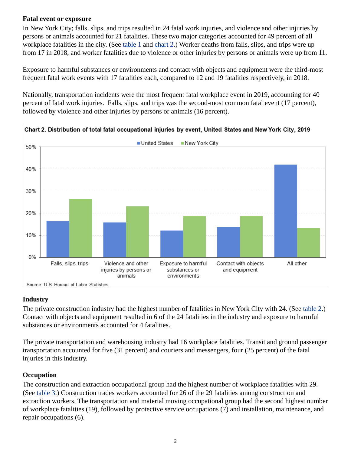## **Fatal event or exposure**

In New York City; falls, slips, and trips resulted in 24 fatal work injuries, and violence and other injuries by persons or animals accounted for 21 fatalities. These two major categories accounted for 49 percent of all workplace fatalities in the city. (See [table 1](#page-4-0) and [chart 2.](#page-1-0)) Worker deaths from falls, slips, and trips were up from 17 in 2018, and worker fatalities due to violence or other injuries by persons or animals were up from 11.

Exposure to harmful substances or environments and contact with objects and equipment were the third-most frequent fatal work events with 17 fatalities each, compared to 12 and 19 fatalities respectively, in 2018.

Nationally, transportation incidents were the most frequent fatal workplace event in 2019, accounting for 40 percent of fatal work injuries. Falls, slips, and trips was the second-most common fatal event (17 percent), followed by violence and other injuries by persons or animals (16 percent).



<span id="page-1-0"></span>Chart 2. Distribution of total fatal occupational injuries by event, United States and New York City, 2019

Source: U.S. Bureau of Labor Statistics.

## **Industry**

The private construction industry had the highest number of fatalities in New York City with 24. (See [table 2](#page-5-0).) Contact with objects and equipment resulted in 6 of the 24 fatalities in the industry and exposure to harmful substances or environments accounted for 4 fatalities.

The private transportation and warehousing industry had 16 workplace fatalities. Transit and ground passenger transportation accounted for five (31 percent) and couriers and messengers, four (25 percent) of the fatal injuries in this industry.

## **Occupation**

The construction and extraction occupational group had the highest number of workplace fatalities with 29. (See [table 3](#page-6-0).) Construction trades workers accounted for 26 of the 29 fatalities among construction and extraction workers. The transportation and material moving occupational group had the second highest number of workplace fatalities (19), followed by protective service occupations (7) and installation, maintenance, and repair occupations (6).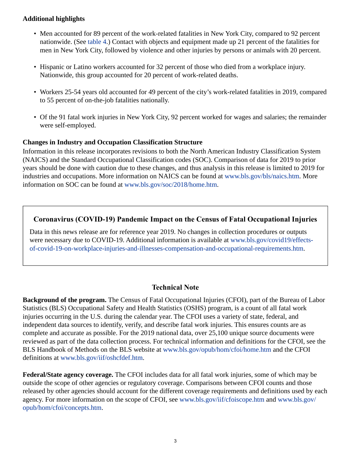#### **Additional highlights**

- Men accounted for 89 percent of the work-related fatalities in New York City, compared to 92 percent nationwide. (See [table 4.](#page-7-0)) Contact with objects and equipment made up 21 percent of the fatalities for men in New York City, followed by violence and other injuries by persons or animals with 20 percent.
- Hispanic or Latino workers accounted for 32 percent of those who died from a workplace injury. Nationwide, this group accounted for 20 percent of work-related deaths.
- Workers 25-54 years old accounted for 49 percent of the city's work-related fatalities in 2019, compared to 55 percent of on-the-job fatalities nationally.
- Of the 91 fatal work injuries in New York City, 92 percent worked for wages and salaries; the remainder were self-employed.

## **Changes in Industry and Occupation Classification Structure**

Information in this release incorporates revisions to both the North American Industry Classification System (NAICS) and the Standard Occupational Classification codes (SOC). Comparison of data for 2019 to prior years should be done with caution due to these changes, and thus analysis in this release is limited to 2019 for industries and occupations. More information on NAICS can be found at [www.bls.gov/bls/naics.htm](https://www.bls.gov/bls/naics.htm). More information on SOC can be found at [www.bls.gov/soc/2018/home.htm.](https://www.bls.gov/soc/2018/home.htm)

## **Coronavirus (COVID-19) Pandemic Impact on the Census of Fatal Occupational Injuries**

Data in this news release are for reference year 2019. No changes in collection procedures or outputs were necessary due to COVID-19. Additional information is available at [www.bls.gov/covid19/effects](https://www.bls.gov/covid19/effects-of-covid-19-on-workplace-injuries-and-illnesses-compensation-and-occupational-requirements.htm)[of-covid-19-on-workplace-injuries-and-illnesses-compensation-and-occupational-requirements.htm](https://www.bls.gov/covid19/effects-of-covid-19-on-workplace-injuries-and-illnesses-compensation-and-occupational-requirements.htm).

#### **Technical Note**

**Background of the program.** The Census of Fatal Occupational Injuries (CFOI), part of the Bureau of Labor Statistics (BLS) Occupational Safety and Health Statistics (OSHS) program, is a count of all fatal work injuries occurring in the U.S. during the calendar year. The CFOI uses a variety of state, federal, and independent data sources to identify, verify, and describe fatal work injuries. This ensures counts are as complete and accurate as possible. For the 2019 national data, over 25,100 unique source documents were reviewed as part of the data collection process. For technical information and definitions for the CFOI, see the BLS Handbook of Methods on the BLS website at [www.bls.gov/opub/hom/cfoi/home.htm](https://www.bls.gov/opub/hom/cfoi/home.htm) and the CFOI definitions at [www.bls.gov/iif/oshcfdef.htm](https://www.bls.gov/iif/oshcfdef.htm).

**Federal/State agency coverage.** The CFOI includes data for all fatal work injuries, some of which may be outside the scope of other agencies or regulatory coverage. Comparisons between CFOI counts and those released by other agencies should account for the different coverage requirements and definitions used by each agency. For more information on the scope of CFOI, see [www.bls.gov/iif/cfoiscope.htm](https://www.bls.gov/iif/cfoiscope.htm) and [www.bls.gov/](https://www.bls.gov/opub/hom/cfoi/concepts.htm) [opub/hom/cfoi/concepts.htm](https://www.bls.gov/opub/hom/cfoi/concepts.htm).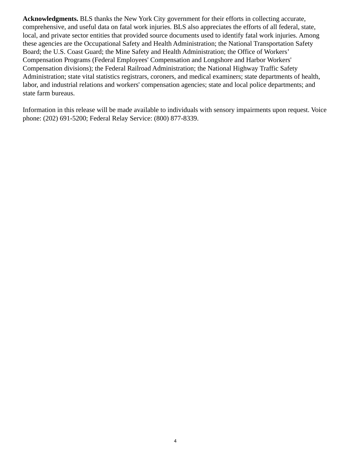**Acknowledgments.** BLS thanks the New York City government for their efforts in collecting accurate, comprehensive, and useful data on fatal work injuries. BLS also appreciates the efforts of all federal, state, local, and private sector entities that provided source documents used to identify fatal work injuries. Among these agencies are the Occupational Safety and Health Administration; the National Transportation Safety Board; the U.S. Coast Guard; the Mine Safety and Health Administration; the Office of Workers' Compensation Programs (Federal Employees' Compensation and Longshore and Harbor Workers' Compensation divisions); the Federal Railroad Administration; the National Highway Traffic Safety Administration; state vital statistics registrars, coroners, and medical examiners; state departments of health, labor, and industrial relations and workers' compensation agencies; state and local police departments; and state farm bureaus.

Information in this release will be made available to individuals with sensory impairments upon request. Voice phone: (202) 691-5200; Federal Relay Service: (800) 877-8339.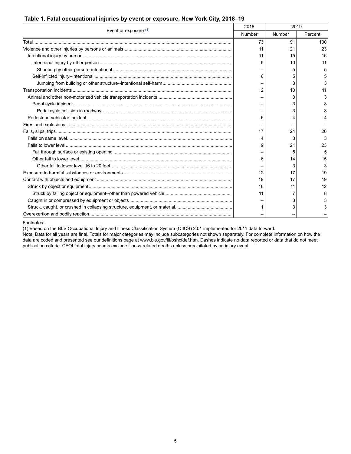<span id="page-4-0"></span>

|  | Table 1. Fatal occupational injuries by event or exposure, New York City, 2018–19 |
|--|-----------------------------------------------------------------------------------|
|  |                                                                                   |

| Event or exposure $(1)$ |    | 2018<br>2019 |         |
|-------------------------|----|--------------|---------|
|                         |    | Number       | Percent |
|                         | 73 | 91           | 100     |
|                         | 11 | 21           | 23      |
|                         | 11 | 15           | 16      |
|                         |    | 10           | 11      |
|                         |    | 5            | 5       |
|                         | 6  | 5            | 5       |
|                         |    | 3            | 3       |
|                         | 12 | 10           | 11      |
|                         |    | 3            | 3       |
|                         |    | 3            |         |
|                         |    | 3            |         |
|                         | 6  |              |         |
|                         |    |              |         |
|                         | 17 | 24           | 26      |
|                         |    | 3            | 3       |
|                         | 9  | 21           | 23      |
|                         |    |              | 5       |
|                         | 6  | 14           | 15      |
|                         |    | 3            | 3       |
|                         | 12 | 17           | 19      |
|                         | 19 | 17           | 19      |
|                         | 16 | 11           | 12      |
|                         | 11 |              | 8       |
|                         |    | 3            |         |
|                         |    | 3            | 3       |
|                         |    |              |         |

<span id="page-4-1"></span>Footnotes:

(1) Based on the BLS Occupational Injury and Illness Classification System (OIICS) 2.01 implemented for 2011 data forward.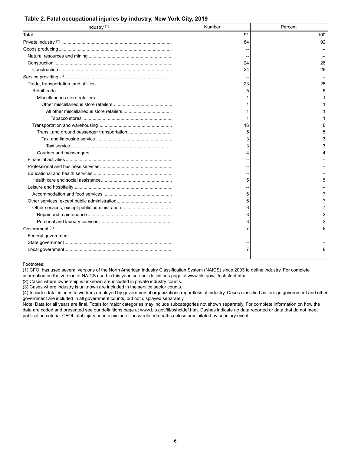#### <span id="page-5-0"></span>**Table 2. Fatal occupational injuries by industry, New York City, 2019**

| Industry <sup>(1)</sup> | Number | Percent |
|-------------------------|--------|---------|
|                         | 91     | 100     |
|                         | 84     | 92      |
|                         |        |         |
|                         |        |         |
|                         | 24     | 26      |
|                         | 24     | 26      |
|                         |        |         |
|                         | 23     | 25      |
|                         | 5      | 5       |
|                         |        |         |
|                         |        |         |
|                         |        |         |
|                         |        |         |
|                         | 16     | 18      |
|                         | 5      | 5       |
|                         |        | 3       |
|                         |        | 3       |
|                         |        |         |
|                         |        |         |
|                         |        |         |
|                         |        |         |
|                         |        | 5       |
|                         |        |         |
|                         | 6      |         |
|                         |        |         |
|                         |        |         |
|                         |        | 3       |
|                         |        | 3       |
|                         |        |         |
|                         |        |         |
|                         |        |         |
|                         |        | 8       |

#### <span id="page-5-1"></span>Footnotes:

(1) CFOI has used several versions of the North American Industry Classification System (NAICS) since 2003 to define industry. For complete information on the version of NAICS used in this year, see our definitions page at [www.bls.gov/iif/oshcfdef.htm](https://www.bls.gov/iif/oshcfdef.htm)

(2) Cases where ownership is unknown are included in private industry counts.

(3) Cases where industry is unknown are included in the service sector counts.

(4) Includes fatal injuries to workers employed by governmental organizations regardless of industry. Cases classified as foreign government and other government are included in all government counts, but not displayed separately.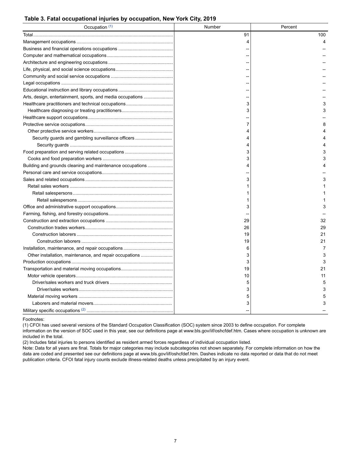#### <span id="page-6-0"></span>**Table 3. Fatal occupational injuries by occupation, New York City, 2019**

| Occupation (1)                                             | Number | Percent |
|------------------------------------------------------------|--------|---------|
|                                                            | 91     | 100     |
|                                                            | 4      |         |
|                                                            |        |         |
|                                                            |        |         |
|                                                            |        |         |
|                                                            |        |         |
|                                                            |        |         |
|                                                            |        |         |
|                                                            |        |         |
| Arts, design, entertainment, sports, and media occupations |        |         |
|                                                            | 3      | 3       |
|                                                            | 3      | 3       |
|                                                            |        |         |
|                                                            | 7      | 8       |
|                                                            |        |         |
| Security guards and gambling surveillance officers         |        |         |
|                                                            |        |         |
|                                                            | 3      | 3       |
|                                                            | 3      | 3       |
| Building and grounds cleaning and maintenance occupations  |        |         |
|                                                            |        |         |
|                                                            | 3      | 3       |
|                                                            |        |         |
|                                                            |        |         |
|                                                            |        |         |
|                                                            | 3      | 3       |
|                                                            |        |         |
|                                                            | 29     | 32      |
|                                                            | 26     | 29      |
|                                                            | 19     | 21      |
|                                                            | 19     | 21      |
|                                                            | 6      | 7       |
| Other installation, maintenance, and repair occupations    | 3      | 3       |
|                                                            | 3      | 3       |
|                                                            | 19     | 21      |
|                                                            | 10     | 11      |
|                                                            | 5      | 5       |
|                                                            | 3      | 3       |
|                                                            | 5      | 5       |
|                                                            | 3      | 3       |
|                                                            |        |         |

#### <span id="page-6-1"></span>Footnotes:

(1) CFOI has used several versions of the Standard Occupation Classification (SOC) system since 2003 to define occupation. For complete information on the version of SOC used in this year, see our definitions page at [www.bls.gov/iif/oshcfdef.htm.](https://www.bls.gov/iif/oshcfdef.htm) Cases where occupation is unknown are included in the total.

(2) Includes fatal injuries to persons identified as resident armed forces regardless of individual occupation listed.